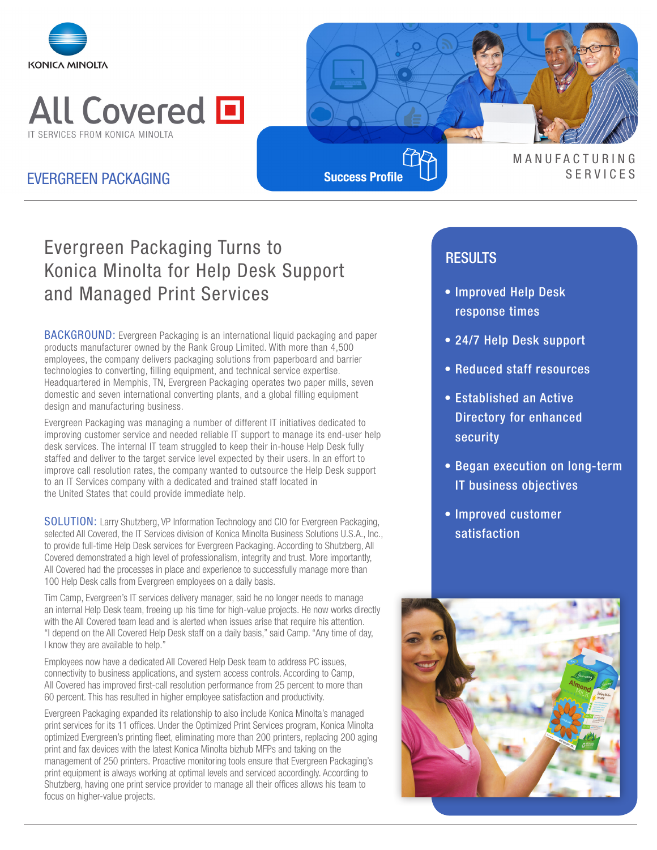



**Success Profile**

### **MANUFACTURING** EVERGREEN PACKAGING **SUCCES** SUCCESS **SUCCESS Profile** U

# Evergreen Packaging Turns to Konica Minolta for Help Desk Support and Managed Print Services

BACKGROUND: Evergreen Packaging is an international liquid packaging and paper products manufacturer owned by the Rank Group Limited. With more than 4,500 employees, the company delivers packaging solutions from paperboard and barrier technologies to converting, filling equipment, and technical service expertise. Headquartered in Memphis, TN, Evergreen Packaging operates two paper mills, seven domestic and seven international converting plants, and a global filling equipment design and manufacturing business.

Evergreen Packaging was managing a number of different IT initiatives dedicated to improving customer service and needed reliable IT support to manage its end-user help desk services. The internal IT team struggled to keep their in-house Help Desk fully staffed and deliver to the target service level expected by their users. In an effort to improve call resolution rates, the company wanted to outsource the Help Desk support to an IT Services company with a dedicated and trained staff located in the United States that could provide immediate help.

SOLUTION: Larry Shutzberg, VP Information Technology and CIO for Evergreen Packaging, selected All Covered, the IT Services division of Konica Minolta Business Solutions U.S.A., Inc., to provide full-time Help Desk services for Evergreen Packaging. According to Shutzberg, All Covered demonstrated a high level of professionalism, integrity and trust. More importantly, All Covered had the processes in place and experience to successfully manage more than 100 Help Desk calls from Evergreen employees on a daily basis.

Tim Camp, Evergreen's IT services delivery manager, said he no longer needs to manage an internal Help Desk team, freeing up his time for high-value projects. He now works directly with the All Covered team lead and is alerted when issues arise that require his attention. "I depend on the All Covered Help Desk staff on a daily basis," said Camp. "Any time of day, I know they are available to help."

Employees now have a dedicated All Covered Help Desk team to address PC issues, connectivity to business applications, and system access controls. According to Camp, All Covered has improved first-call resolution performance from 25 percent to more than 60 percent. This has resulted in higher employee satisfaction and productivity.

Evergreen Packaging expanded its relationship to also include Konica Minolta's managed print services for its 11 offices. Under the Optimized Print Services program, Konica Minolta optimized Evergreen's printing fleet, eliminating more than 200 printers, replacing 200 aging print and fax devices with the latest Konica Minolta bizhub MFPs and taking on the management of 250 printers. Proactive monitoring tools ensure that Evergreen Packaging's print equipment is always working at optimal levels and serviced accordingly. According to Shutzberg, having one print service provider to manage all their offices allows his team to focus on higher-value projects.

### RESULTS

- Improved Help Desk response times
- 24/7 Help Desk support
- Reduced staff resources
- Established an Active Directory for enhanced security
- Began execution on long-term IT business objectives
- Improved customer satisfaction